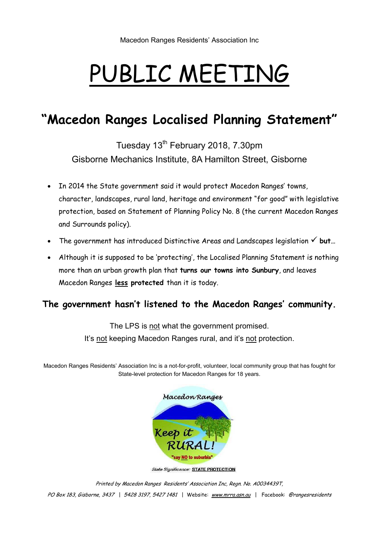# PUBLIC MEETING

# **"Macedon Ranges Localised Planning Statement"**

Tuesday 13<sup>th</sup> February 2018, 7.30pm Gisborne Mechanics Institute, 8A Hamilton Street, Gisborne

- In 2014 the State government said it would protect Macedon Ranges' towns, character, landscapes, rural land, heritage and environment "for good" with legislative protection, based on Statement of Planning Policy No. 8 (the current Macedon Ranges and Surrounds policy).
- The government has introduced Distinctive Areas and Landscapes legislation  $\checkmark$  but...
- Although it is supposed to be 'protecting', the Localised Planning Statement is nothing more than an urban growth plan that **turns our towns into Sunbury**, and leaves Macedon Ranges **less protected** than it is today.

### **The government hasn't listened to the Macedon Ranges' community.**

The LPS is not what the government promised. It's not keeping Macedon Ranges rural, and it's not protection.

Macedon Ranges Residents' Association Inc is a not-for-profit, volunteer, local community group that has fought for State-level protection for Macedon Ranges for 18 years.



**State Significance: STATE PROTECTION** 

Printed by Macedon Ranges Residents' Association Inc, Regn. No. A0034439T,

PO Box 183, Gisborne, 3437 | 5428 3197, 5427 1481 | Website: www.mrra.asn.au | Facebook: @rangesresidents